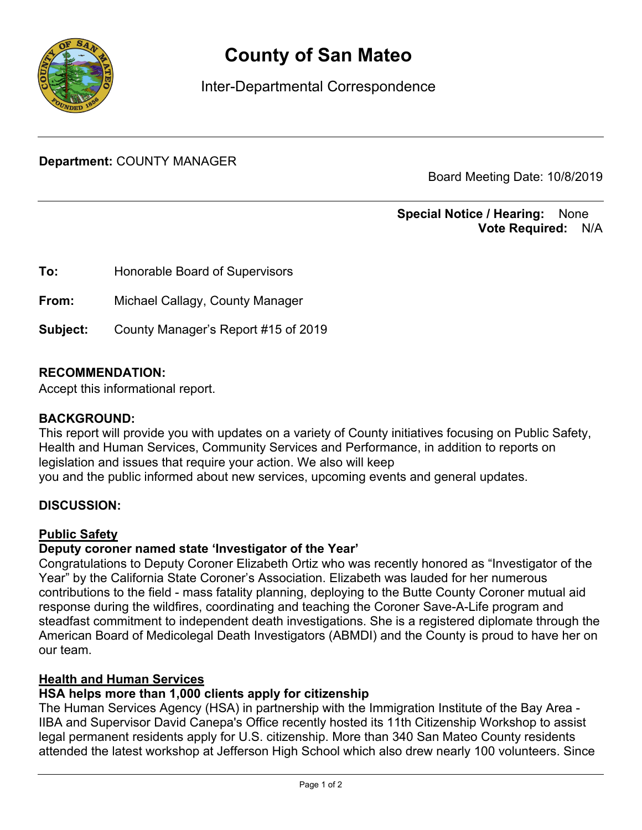

# County of San Mateo

Inter-Departmental Correspondence

Department: COUNTY MANAGER

Board Meeting Date: 10/8/2019

### Special Notice / Hearing: None Vote Required: N/A

| To:      | Honorable Board of Supervisors      |
|----------|-------------------------------------|
| From:    | Michael Callagy, County Manager     |
| Subject: | County Manager's Report #15 of 2019 |

## RECOMMENDATION:

Accept this informational report.

#### BACKGROUND:

This report will provide you with updates on a variety of County initiatives focusing on Public Safety, Health and Human Services, Community Services and Performance, in addition to reports on legislation and issues that require your action. We also will keep you and the public informed about new services, upcoming events and general updates.

#### DISCUSSION:

#### Public Safety

## Deputy coroner named state 'Investigator of the Year'

Congratulations to Deputy Coroner Elizabeth Ortiz who was recently honored as "Investigator of the Year" by the California State Coroner's Association. Elizabeth was lauded for her numerous contributions to the field - mass fatality planning, deploying to the Butte County Coroner mutual aid response during the wildfires, coordinating and teaching the Coroner Save-A-Life program and steadfast commitment to independent death investigations. She is a registered diplomate through the American Board of Medicolegal Death Investigators (ABMDI) and the County is proud to have her on our team.

#### Health and Human Services

## HSA helps more than 1,000 clients apply for citizenship

The Human Services Agency (HSA) in partnership with the Immigration Institute of the Bay Area - IIBA and Supervisor David Canepa's Office recently hosted its 11th Citizenship Workshop to assist legal permanent residents apply for U.S. citizenship. More than 340 San Mateo County residents attended the latest workshop at Jefferson High School which also drew nearly 100 volunteers. Since